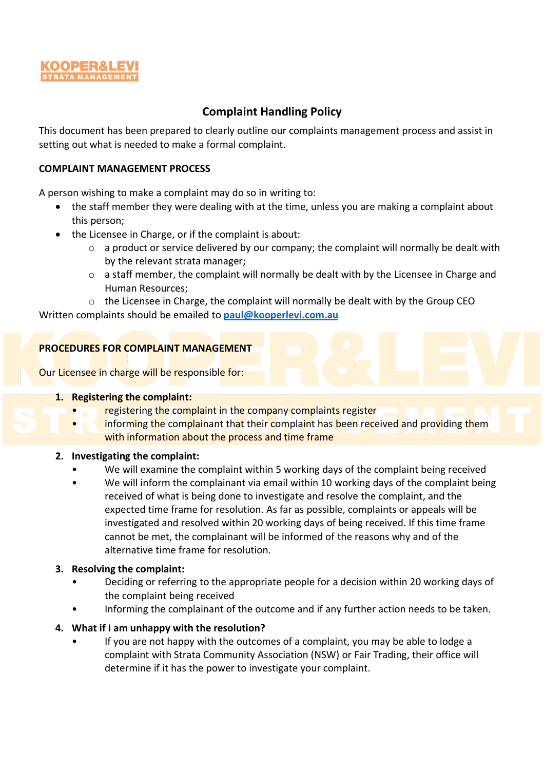

# **Complaint Handling Policy**

This document has been prepared to clearly outline our complaints management process and assist in setting out what is needed to make a formal complaint.

### **COMPLAINT MANAGEMENT PROCESS**

A person wishing to make a complaint may do so in writing to:

- the staff member they were dealing with at the time, unless you are making a complaint about this person;
- the Licensee in Charge, or if the complaint is about:
	- $\circ$  a product or service delivered by our company; the complaint will normally be dealt with by the relevant strata manager;
	- o a staff member, the complaint will normally be dealt with by the Licensee in Charge and Human Resources;
- $\circ$  the Licensee in Charge, the complaint will normally be dealt with by the Group CEO Written complaints should be emailed to **[paul@kooperlevi.com.au](mailto:paul@kooperlevi.com.au)**

## **PROCEDURES FOR COMPLAINT MANAGEMENT**

Our Licensee in charge will be responsible for:

#### **1. Registering the complaint:**

- registering the complaint in the company complaints register
- informing the complainant that their complaint has been received and providing them with information about the process and time frame

#### **2. Investigating the complaint:**

- We will examine the complaint within 5 working days of the complaint being received
- We will inform the complainant via email within 10 working days of the complaint being received of what is being done to investigate and resolve the complaint, and the expected time frame for resolution. As far as possible, complaints or appeals will be investigated and resolved within 20 working days of being received. If this time frame cannot be met, the complainant will be informed of the reasons why and of the alternative time frame for resolution.

#### **3. Resolving the complaint:**

- Deciding or referring to the appropriate people for a decision within 20 working days of the complaint being received
- Informing the complainant of the outcome and if any further action needs to be taken.

#### **4. What if I am unhappy with the resolution?**

• If you are not happy with the outcomes of a complaint, you may be able to lodge a complaint with Strata Community Association (NSW) or Fair Trading, their office will determine if it has the power to investigate your complaint.